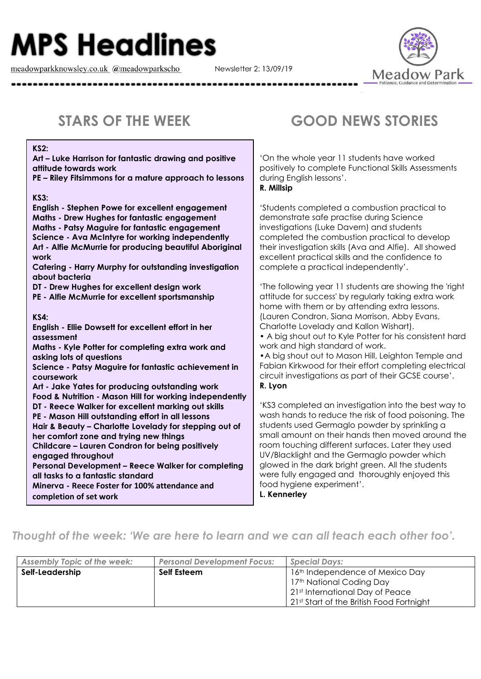## **MPS Headlines**

meadowparkknowsley.co.uk @meadowparkscho

Newsletter 2: 13/09/19



**KS2:** 

**Art – Luke Harrison for fantastic drawing and positive attitude towards work**

**PE – Riley Fitsimmons for a mature approach to lessons**

**KS3:**

**English - Stephen Powe for excellent engagement Maths - Drew Hughes for fantastic engagement Maths - Patsy Maguire for fantastic engagement Science - Ava McIntyre for working independently Art - Alfie McMurrie for producing beautiful Aboriginal work Catering - Harry Murphy for outstanding investigation about bacteria DT - Drew Hughes for excellent design work PE - Alfie McMurrie for excellent sportsmanship KS4: English - Ellie Dowsett for excellent effort in her assessment Maths - Kyle Potter for completing extra work and asking lots of questions**

**Science - Patsy Maguire for fantastic achievement in coursework**

**Art - Jake Yates for producing outstanding work Food & Nutrition - Mason Hill for working independently DT - Reece Walker for excellent marking out skills PE - Mason Hill outstanding effort in all lessons Hair & Beauty – Charlotte Lovelady for stepping out of her comfort zone and trying new things Childcare – Lauren Condron for being positively engaged throughout**

**Personal Development – Reece Walker for completing all tasks to a fantastic standard**

**Minerva - Reece Foster for 100% attendance and completion of set work**

## **STARS OF THE WEEK GOOD NEWS STORIES**

'On the whole year 11 students have worked positively to complete Functional Skills Assessments during English lessons'. **R. Millsip**

'Students completed a combustion practical to demonstrate safe practise during Science investigations (Luke Davern) and students completed the combustion practical to develop their investigation skills (Ava and Alfie). All showed excellent practical skills and the confidence to complete a practical independently'.

'The following year 11 students are showing the 'right attitude for success' by regularly taking extra work home with them or by attending extra lessons. (Lauren Condron, Siana Morrison, Abby Evans, Charlotte Lovelady and Kallon Wishart).

• A big shout out to Kyle Potter for his consistent hard work and high standard of work.

•A big shout out to Mason Hill, Leighton Temple and Fabian Kirkwood for their effort completing electrical circuit investigations as part of their GCSE course'. **R. Lyon**

'KS3 completed an investigation into the best way to wash hands to reduce the risk of food poisoning. The students used Germaglo powder by sprinkling a small amount on their hands then moved around the room touching different surfaces. Later they used UV/Blacklight and the Germaglo powder which glowed in the dark bright green. All the students were fully engaged and thoroughly enjoyed this food hygiene experiment'.

**L. Kennerley**

## *Thought of the week: 'We are here to learn and we can all teach each other too'.*

| <b>Assembly Topic of the week:</b> | <b>Personal Development Focus:</b> | <b>Special Days:</b>                     |
|------------------------------------|------------------------------------|------------------------------------------|
| Self-Leadership                    | Self Esteem                        | 16th Independence of Mexico Day          |
|                                    |                                    | 17th National Coding Day                 |
|                                    |                                    | 21st International Day of Peace          |
|                                    |                                    | 21st Start of the British Food Fortnight |